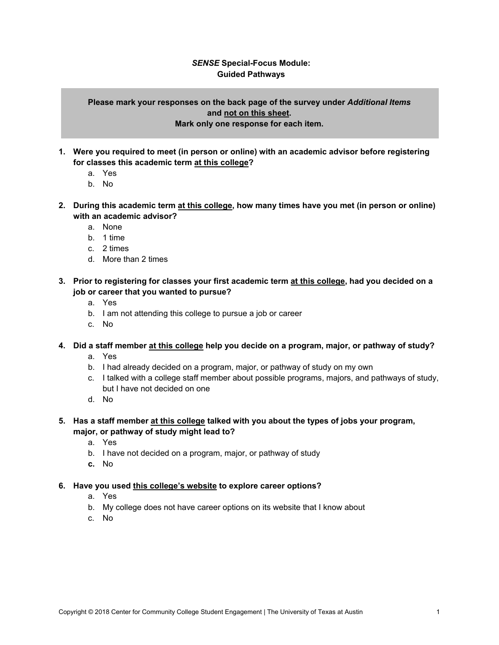## *SENSE* **Special-Focus Module: Guided Pathways**

## **Please mark your responses on the back page of the survey under** *Additional Items* **and not on this sheet. Mark only one response for each item.**

- **1. Were you required to meet (in person or online) with an academic advisor before registering for classes this academic term at this college?**
	- a. Yes
	- b. No
- **2. During this academic term at this college, how many times have you met (in person or online) with an academic advisor?**
	- a. None
	- b. 1 time
	- c. 2 times
	- d. More than 2 times
- **3. Prior to registering for classes your first academic term at this college, had you decided on a job or career that you wanted to pursue?**
	- a. Yes
	- b. I am not attending this college to pursue a job or career
	- c. No
- **4. Did a staff member at this college help you decide on a program, major, or pathway of study?**
	- a. Yes
	- b. I had already decided on a program, major, or pathway of study on my own
	- c. I talked with a college staff member about possible programs, majors, and pathways of study, but I have not decided on one
	- d. No
- **5. Has a staff member at this college talked with you about the types of jobs your program, major, or pathway of study might lead to?**
	- a. Yes
	- b. I have not decided on a program, major, or pathway of study
	- **c.** No

## **6. Have you used this college's website to explore career options?**

- a. Yes
- b. My college does not have career options on its website that I know about
- c. No